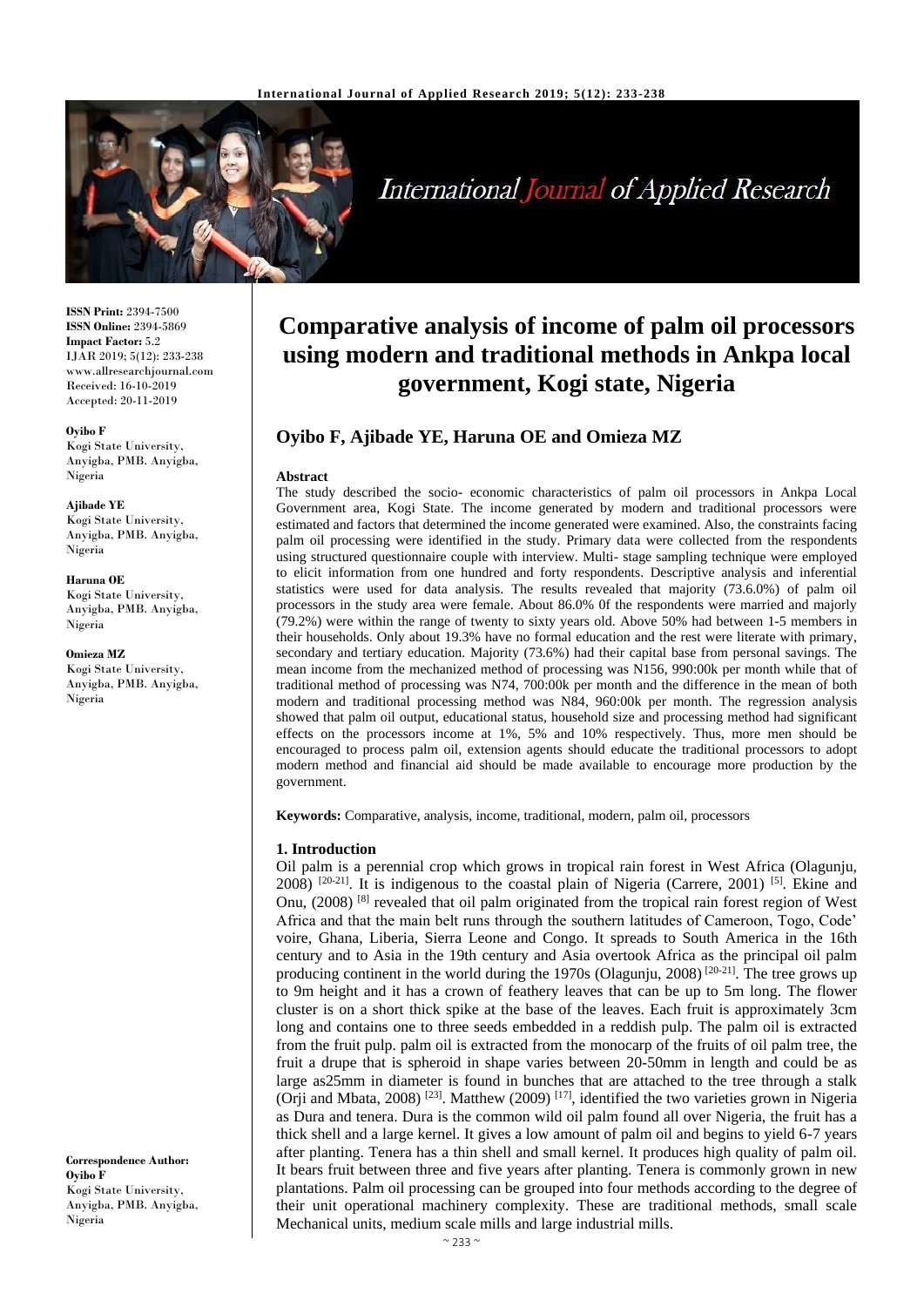

# International Journal of Applied Research

**ISSN Print:** 2394-7500 **ISSN Online:** 2394-5869 **Impact Factor:** 5.2 IJAR 2019; 5(12): 233-238 www.allresearchjournal.com Received: 16-10-2019 Accepted: 20-11-2019

**Oyibo F**  Kogi State University, Anyigba, PMB. Anyigba, Nigeria

**Ajibade YE** Kogi State University, Anyigba, PMB. Anyigba, Nigeria

**Haruna OE** Kogi State University, Anyigba, PMB. Anyigba, Nigeria

**Omieza MZ** Kogi State University, Anyigba, PMB. Anyigba, Nigeria

**Correspondence Author: Oyibo F**  Kogi State University, Anyigba, PMB. Anyigba, Nigeria

## **Comparative analysis of income of palm oil processors using modern and traditional methods in Ankpa local government, Kogi state, Nigeria**

## **Oyibo F, Ajibade YE, Haruna OE and Omieza MZ**

#### **Abstract**

The study described the socio- economic characteristics of palm oil processors in Ankpa Local Government area, Kogi State. The income generated by modern and traditional processors were estimated and factors that determined the income generated were examined. Also, the constraints facing palm oil processing were identified in the study. Primary data were collected from the respondents using structured questionnaire couple with interview. Multi- stage sampling technique were employed to elicit information from one hundred and forty respondents. Descriptive analysis and inferential statistics were used for data analysis. The results revealed that majority (73.6.0%) of palm oil processors in the study area were female. About 86.0% 0f the respondents were married and majorly (79.2%) were within the range of twenty to sixty years old. Above 50% had between 1-5 members in their households. Only about 19.3% have no formal education and the rest were literate with primary, secondary and tertiary education. Majority (73.6%) had their capital base from personal savings. The mean income from the mechanized method of processing was N156, 990:00k per month while that of traditional method of processing was N74, 700:00k per month and the difference in the mean of both modern and traditional processing method was N84, 960:00k per month. The regression analysis showed that palm oil output, educational status, household size and processing method had significant effects on the processors income at 1%, 5% and 10% respectively. Thus, more men should be encouraged to process palm oil, extension agents should educate the traditional processors to adopt modern method and financial aid should be made available to encourage more production by the government.

**Keywords:** Comparative, analysis, income, traditional, modern, palm oil, processors

#### **1. Introduction**

Oil palm is a perennial crop which grows in tropical rain forest in West Africa (Olagunju,  $2008$ )  $[20-21]$ . It is indigenous to the coastal plain of Nigeria (Carrere, 2001) <sup>[5]</sup>. Ekine and Onu, (2008) [8] revealed that oil palm originated from the tropical rain forest region of West Africa and that the main belt runs through the southern latitudes of Cameroon, Togo, Code' voire, Ghana, Liberia, Sierra Leone and Congo. It spreads to South America in the 16th century and to Asia in the 19th century and Asia overtook Africa as the principal oil palm producing continent in the world during the 1970s (Olagunju, 2008)<sup>[20-21]</sup>. The tree grows up to 9m height and it has a crown of feathery leaves that can be up to 5m long. The flower cluster is on a short thick spike at the base of the leaves. Each fruit is approximately 3cm long and contains one to three seeds embedded in a reddish pulp. The palm oil is extracted from the fruit pulp. palm oil is extracted from the monocarp of the fruits of oil palm tree, the fruit a drupe that is spheroid in shape varies between 20-50mm in length and could be as large as25mm in diameter is found in bunches that are attached to the tree through a stalk (Orji and Mbata, 2008)<sup>[23]</sup>. Matthew (2009)<sup>[17]</sup>, identified the two varieties grown in Nigeria as Dura and tenera. Dura is the common wild oil palm found all over Nigeria, the fruit has a thick shell and a large kernel. It gives a low amount of palm oil and begins to yield 6-7 years after planting. Tenera has a thin shell and small kernel. It produces high quality of palm oil. It bears fruit between three and five years after planting. Tenera is commonly grown in new plantations. Palm oil processing can be grouped into four methods according to the degree of their unit operational machinery complexity. These are traditional methods, small scale Mechanical units, medium scale mills and large industrial mills.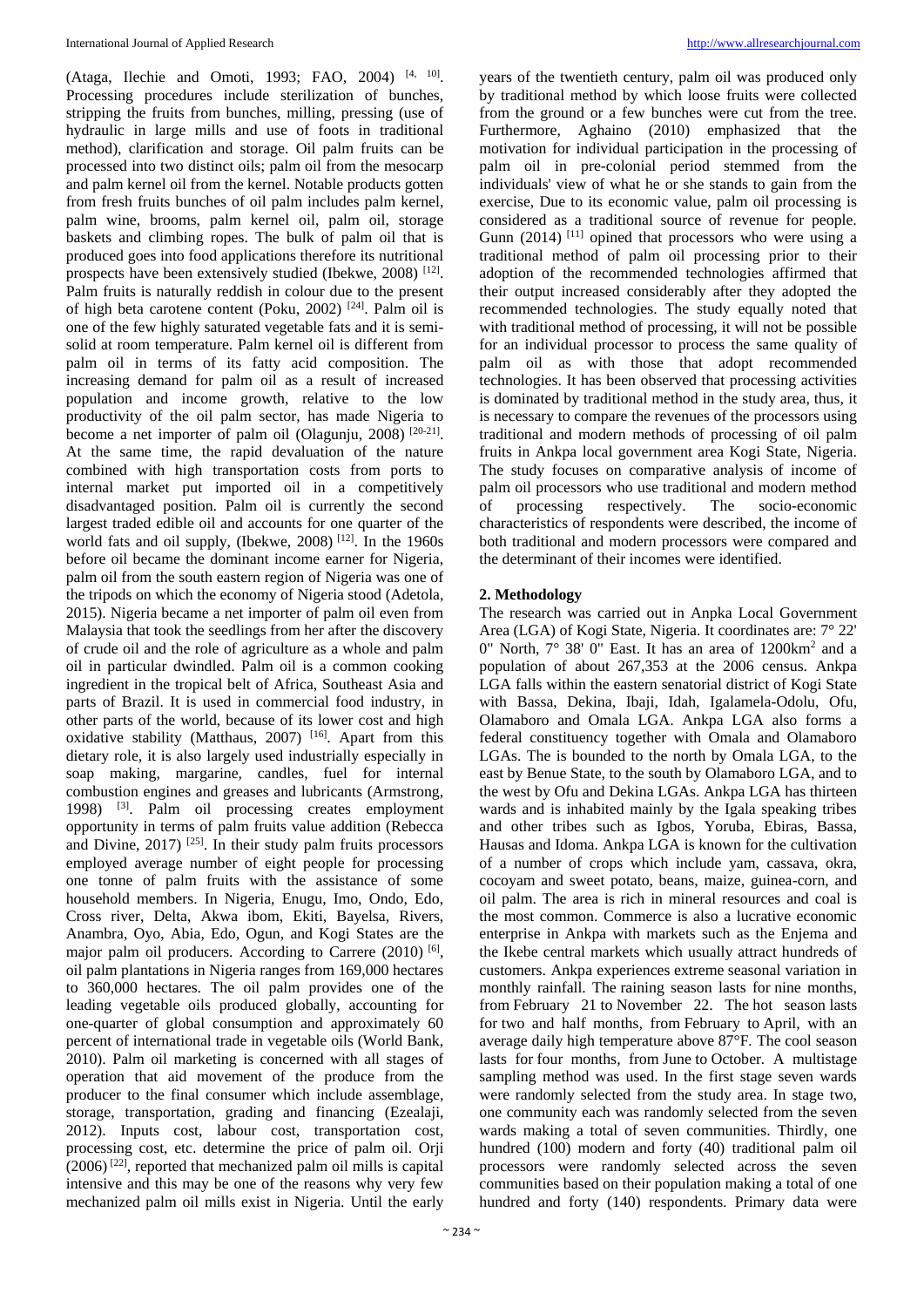(Ataga, Ilechie and Omoti, 1993; FAO, 2004)<sup>[4, 10]</sup>. Processing procedures include sterilization of bunches, stripping the fruits from bunches, milling, pressing (use of hydraulic in large mills and use of foots in traditional method), clarification and storage. Oil palm fruits can be processed into two distinct oils; palm oil from the mesocarp and palm kernel oil from the kernel. Notable products gotten from fresh fruits bunches of oil palm includes palm kernel, palm wine, brooms, palm kernel oil, palm oil, storage baskets and climbing ropes. The bulk of palm oil that is produced goes into food applications therefore its nutritional prospects have been extensively studied (Ibekwe, 2008)<sup>[12]</sup>. Palm fruits is naturally reddish in colour due to the present of high beta carotene content (Poku, 2002) [24]. Palm oil is one of the few highly saturated vegetable fats and it is semisolid at room temperature. Palm kernel oil is different from palm oil in terms of its fatty acid composition. The increasing demand for palm oil as a result of increased population and income growth, relative to the low productivity of the oil palm sector, has made Nigeria to become a net importer of palm oil (Olagunju, 2008) [20-21]. At the same time, the rapid devaluation of the nature combined with high transportation costs from ports to internal market put imported oil in a competitively disadvantaged position. Palm oil is currently the second largest traded edible oil and accounts for one quarter of the world fats and oil supply, (Ibekwe, 2008)<sup>[12]</sup>. In the 1960s before oil became the dominant income earner for Nigeria, palm oil from the south eastern region of Nigeria was one of the tripods on which the economy of Nigeria stood (Adetola, 2015). Nigeria became a net importer of palm oil even from Malaysia that took the seedlings from her after the discovery of crude oil and the role of agriculture as a whole and palm oil in particular dwindled. Palm oil is a common cooking ingredient in the tropical belt of Africa, Southeast Asia and parts of Brazil. It is used in commercial food industry, in other parts of the world, because of its lower cost and high oxidative stability (Matthaus, 2007)<sup>[16]</sup>. Apart from this dietary role, it is also largely used industrially especially in soap making, margarine, candles, fuel for internal combustion engines and greases and lubricants (Armstrong, 1998) <sup>[3]</sup>. Palm oil processing creates employment opportunity in terms of palm fruits value addition (Rebecca and Divine, 2017)  $^{[25]}$ . In their study palm fruits processors employed average number of eight people for processing one tonne of palm fruits with the assistance of some household members. In Nigeria, Enugu, Imo, Ondo, Edo, Cross river, Delta, Akwa ibom, Ekiti, Bayelsa, Rivers, Anambra, Oyo, Abia, Edo, Ogun, and Kogi States are the major palm oil producers. According to Carrere (2010)<sup>[6]</sup>, oil palm plantations in Nigeria ranges from 169,000 hectares to 360,000 hectares. The oil palm provides one of the leading vegetable oils produced globally, accounting for one-quarter of global consumption and approximately 60 percent of international trade in vegetable oils (World Bank, 2010). Palm oil marketing is concerned with all stages of operation that aid movement of the produce from the producer to the final consumer which include assemblage, storage, transportation, grading and financing (Ezealaji, 2012). Inputs cost, labour cost, transportation cost, processing cost, etc. determine the price of palm oil. Orji (2006) [22] , reported that mechanized palm oil mills is capital intensive and this may be one of the reasons why very few mechanized palm oil mills exist in Nigeria. Until the early

years of the twentieth century, palm oil was produced only by traditional method by which loose fruits were collected from the ground or a few bunches were cut from the tree. Furthermore, Aghaino (2010) emphasized that the motivation for individual participation in the processing of palm oil in pre-colonial period stemmed from the individuals' view of what he or she stands to gain from the exercise, Due to its economic value, palm oil processing is considered as a traditional source of revenue for people. Gunn  $(2014)$ <sup>[11]</sup> opined that processors who were using a traditional method of palm oil processing prior to their adoption of the recommended technologies affirmed that their output increased considerably after they adopted the recommended technologies. The study equally noted that with traditional method of processing, it will not be possible for an individual processor to process the same quality of palm oil as with those that adopt recommended technologies. It has been observed that processing activities is dominated by traditional method in the study area, thus, it is necessary to compare the revenues of the processors using traditional and modern methods of processing of oil palm fruits in Ankpa local government area Kogi State, Nigeria. The study focuses on comparative analysis of income of palm oil processors who use traditional and modern method of processing respectively. The socio-economic characteristics of respondents were described, the income of both traditional and modern processors were compared and the determinant of their incomes were identified.

#### **2. Methodology**

The research was carried out in Anpka Local Government Area (LGA) of Kogi State, Nigeria. It coordinates are: 7° 22' 0" North, 7° 38' 0" East. It has an area of 1200km<sup>2</sup> and a population of about 267,353 at the 2006 census. Ankpa LGA falls within the eastern senatorial district of Kogi State with Bassa, Dekina, Ibaji, Idah, Igalamela-Odolu, Ofu, Olamaboro and Omala LGA. Ankpa LGA also forms a federal constituency together with Omala and Olamaboro LGAs. The is bounded to the north by Omala LGA, to the east by Benue State, to the south by Olamaboro LGA, and to the west by Ofu and Dekina LGAs. Ankpa LGA has thirteen wards and is inhabited mainly by the Igala speaking tribes and other tribes such as Igbos, Yoruba, Ebiras, Bassa, Hausas and Idoma. Ankpa LGA is known for the cultivation of a number of crops which include yam, cassava, okra, cocoyam and sweet potato, beans, maize, guinea-corn, and oil palm. The area is rich in mineral resources and coal is the most common. Commerce is also a lucrative economic enterprise in Ankpa with markets such as the Enjema and the Ikebe central markets which usually attract hundreds of customers. Ankpa experiences extreme seasonal variation in monthly rainfall. The raining season lasts for nine months, from February 21 to November 22. The hot season lasts for two and half months*,* from February to April*,* with an average daily high temperature above 87°F*.* The cool season lasts for four months*,* from June to October*.* A multistage sampling method was used. In the first stage seven wards were randomly selected from the study area. In stage two, one community each was randomly selected from the seven wards making a total of seven communities. Thirdly, one hundred (100) modern and forty (40) traditional palm oil processors were randomly selected across the seven communities based on their population making a total of one hundred and forty (140) respondents. Primary data were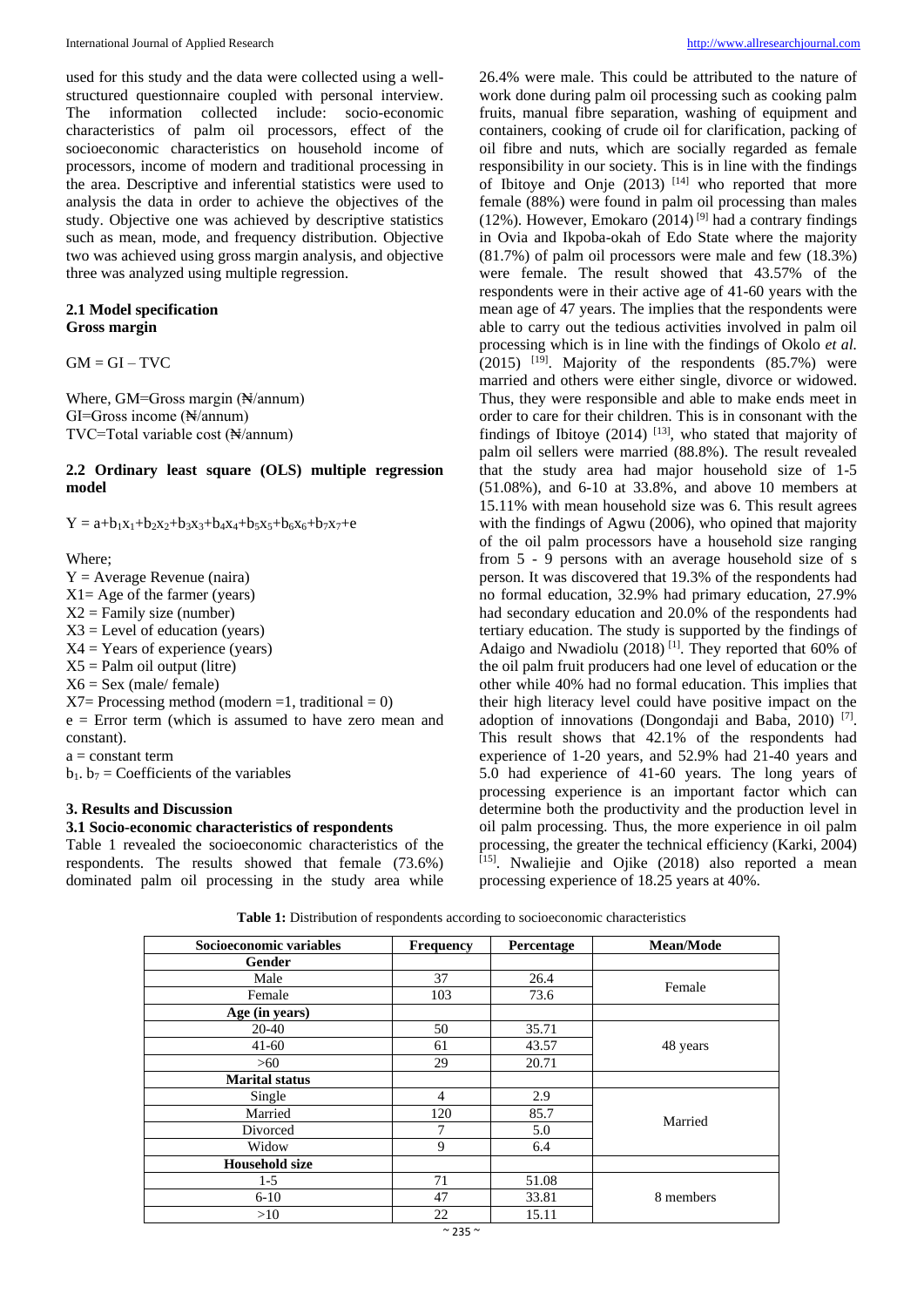used for this study and the data were collected using a wellstructured questionnaire coupled with personal interview. The information collected include: socio-economic characteristics of palm oil processors, effect of the socioeconomic characteristics on household income of processors, income of modern and traditional processing in the area. Descriptive and inferential statistics were used to analysis the data in order to achieve the objectives of the study. Objective one was achieved by descriptive statistics such as mean, mode, and frequency distribution. Objective two was achieved using gross margin analysis, and objective three was analyzed using multiple regression.

#### **2.1 Model specification Gross margin**

 $GM = GI - TVC$ 

Where, GM=Gross margin (N/annum) GI=Gross income (₦/annum) TVC=Total variable cost (₦/annum)

#### **2.2 Ordinary least square (OLS) multiple regression model**

 $Y = a+b_1x_1+b_2x_2+b_3x_3+b_4x_4+b_5x_5+b_6x_6+b_7x_7+e_7x_7$ 

Where;

 $Y = Average$  Revenue (naira)  $X1 = Age$  of the farmer (years)  $X2$  = Family size (number)  $X3 =$  Level of education (years)  $X4 = Years$  of experience (years)  $X5 =$  Palm oil output (litre)  $X6 =$  Sex (male/ female)  $X7 =$  Processing method (modern =1, traditional = 0)  $e = Error$  term (which is assumed to have zero mean and constant).  $a = constant term$  $b_1$ .  $b_7$  = Coefficients of the variables

### **3. Results and Discussion**

#### **3.1 Socio-economic characteristics of respondents**

Table 1 revealed the socioeconomic characteristics of the respondents. The results showed that female (73.6%) dominated palm oil processing in the study area while

26.4% were male. This could be attributed to the nature of work done during palm oil processing such as cooking palm fruits, manual fibre separation, washing of equipment and containers, cooking of crude oil for clarification, packing of oil fibre and nuts, which are socially regarded as female responsibility in our society. This is in line with the findings of Ibitoye and Onje  $(2013)$  <sup>[14]</sup> who reported that more female (88%) were found in palm oil processing than males (12%). However, Emokaro (2014)<sup>[9]</sup> had a contrary findings in Ovia and Ikpoba-okah of Edo State where the majority (81.7%) of palm oil processors were male and few (18.3%) were female. The result showed that 43.57% of the respondents were in their active age of 41-60 years with the mean age of 47 years. The implies that the respondents were able to carry out the tedious activities involved in palm oil processing which is in line with the findings of Okolo *et al.*   $(2015)$  <sup>[19]</sup>. Majority of the respondents  $(85.7%)$  were married and others were either single, divorce or widowed. Thus, they were responsible and able to make ends meet in order to care for their children. This is in consonant with the findings of Ibitoye  $(2014)$  <sup>[13]</sup>, who stated that majority of palm oil sellers were married (88.8%). The result revealed that the study area had major household size of 1-5 (51.08%), and 6-10 at 33.8%, and above 10 members at 15.11% with mean household size was 6. This result agrees with the findings of Agwu (2006), who opined that majority of the oil palm processors have a household size ranging from 5 - 9 persons with an average household size of s person. It was discovered that 19.3% of the respondents had no formal education, 32.9% had primary education, 27.9% had secondary education and 20.0% of the respondents had tertiary education. The study is supported by the findings of Adaigo and Nwadiolu (2018)<sup>[1]</sup>. They reported that 60% of the oil palm fruit producers had one level of education or the other while 40% had no formal education. This implies that their high literacy level could have positive impact on the adoption of innovations (Dongondaji and Baba, 2010)<sup>[7]</sup>. This result shows that 42.1% of the respondents had experience of 1-20 years, and 52.9% had 21-40 years and 5.0 had experience of 41-60 years. The long years of processing experience is an important factor which can determine both the productivity and the production level in oil palm processing. Thus, the more experience in oil palm processing, the greater the technical efficiency (Karki, 2004) [15]. Nwaliejie and Ojike (2018) also reported a mean processing experience of 18.25 years at 40%.

| Table 1: Distribution of respondents according to socioeconomic characteristics |  |
|---------------------------------------------------------------------------------|--|
|---------------------------------------------------------------------------------|--|

| Socioeconomic variables | <b>Frequency</b> | Percentage | Mean/Mode |  |
|-------------------------|------------------|------------|-----------|--|
| Gender                  |                  |            |           |  |
| Male                    | 37               | 26.4       | Female    |  |
| Female                  | 103              | 73.6       |           |  |
| Age (in years)          |                  |            |           |  |
| 20-40                   | 50               | 35.71      |           |  |
| $41-60$                 | 61               | 43.57      | 48 years  |  |
| >60                     | 29               | 20.71      |           |  |
| <b>Marital status</b>   |                  |            |           |  |
| Single                  | $\overline{4}$   | 2.9        |           |  |
| Married                 | 120              | 85.7       | Married   |  |
| Divorced                | 7                | 5.0        |           |  |
| Widow                   | 9                | 6.4        |           |  |
| <b>Household size</b>   |                  |            |           |  |
| $1-5$                   | 71               | 51.08      | 8 members |  |
| $6 - 10$                | 47               | 33.81      |           |  |
| >10                     | 22               | 15.11      |           |  |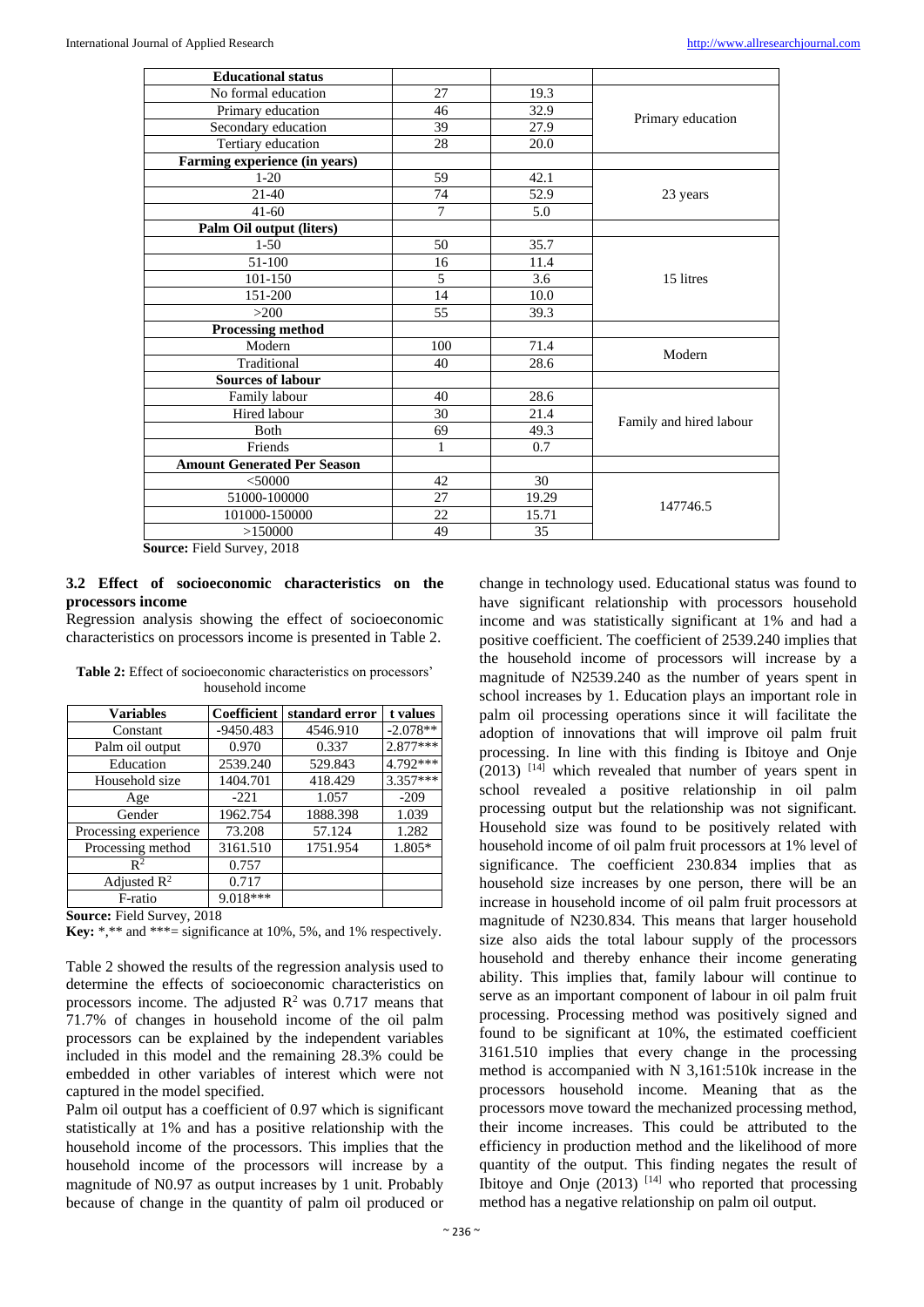| <b>Educational status</b>          |                |                  |                         |  |
|------------------------------------|----------------|------------------|-------------------------|--|
| No formal education                | 27             | 19.3             |                         |  |
| Primary education                  | 46             | 32.9             | Primary education       |  |
| Secondary education                | 39             | 27.9             |                         |  |
| Tertiary education                 | 28             | 20.0             |                         |  |
| Farming experience (in years)      |                |                  |                         |  |
| $1 - 20$                           | 59             | 42.1             |                         |  |
| 21-40                              | 74             | 52.9             | 23 years                |  |
| $41 - 60$                          | $\overline{7}$ | 5.0              |                         |  |
| Palm Oil output (liters)           |                |                  |                         |  |
| $1 - 50$                           | 50             | 35.7             |                         |  |
| 51-100                             | 16             | 11.4             |                         |  |
| 101-150                            | 5              | $\overline{3.6}$ | 15 litres               |  |
| 151-200                            | 14             | 10.0             |                         |  |
| >200                               | 55             | 39.3             |                         |  |
| Processing method                  |                |                  |                         |  |
| Modern                             | 100            | 71.4             |                         |  |
| Traditional                        | 40             | 28.6             | Modern                  |  |
| <b>Sources of labour</b>           |                |                  |                         |  |
| Family labour                      | 40             | 28.6             |                         |  |
| Hired labour                       | 30             | 21.4             |                         |  |
| <b>B</b> oth                       | 69             | 49.3             | Family and hired labour |  |
| Friends                            | 1              | 0.7              |                         |  |
| <b>Amount Generated Per Season</b> |                |                  |                         |  |
| $<$ 50000                          | 42             | 30               |                         |  |
| 51000-100000                       | 27             | 19.29            | 147746.5                |  |
| 101000-150000                      | 22             | 15.71            |                         |  |
| >150000                            | 49             | 35               |                         |  |

**Source:** Field Survey, 2018

#### **3.2 Effect of socioeconomic characteristics on the processors income**

Regression analysis showing the effect of socioeconomic characteristics on processors income is presented in Table 2.

| <b>Variables</b>        | Coefficient | standard error | t values   |
|-------------------------|-------------|----------------|------------|
| Constant                | $-9450.483$ | 4546.910       | $-2.078**$ |
| Palm oil output         | 0.970       | 0.337          | 2.877***   |
| Education               | 2539.240    | 529.843        | 4.792***   |
| Household size          | 1404.701    | 418.429        | $3.357***$ |
| Age                     | $-221$      | 1.057          | $-209$     |
| Gender                  | 1962.754    | 1888.398       | 1.039      |
| Processing experience   | 73.208      | 57.124         | 1.282      |
| Processing method       | 3161.510    | 1751.954       | 1.805*     |
| $\mathbb{R}^2$          | 0.757       |                |            |
| Adjusted $\mathbb{R}^2$ | 0.717       |                |            |
| F-ratio                 | 9.018***    |                |            |

**Table 2:** Effect of socioeconomic characteristics on processors' household income

**Source:** Field Survey, 2018

**Key:** \*,\*\* and \*\*\*= significance at 10%, 5%, and 1% respectively.

Table 2 showed the results of the regression analysis used to determine the effects of socioeconomic characteristics on processors income. The adjusted  $\mathbb{R}^2$  was 0.717 means that 71.7% of changes in household income of the oil palm processors can be explained by the independent variables included in this model and the remaining 28.3% could be embedded in other variables of interest which were not captured in the model specified.

Palm oil output has a coefficient of 0.97 which is significant statistically at 1% and has a positive relationship with the household income of the processors. This implies that the household income of the processors will increase by a magnitude of N0.97 as output increases by 1 unit. Probably because of change in the quantity of palm oil produced or

change in technology used. Educational status was found to have significant relationship with processors household income and was statistically significant at 1% and had a positive coefficient. The coefficient of 2539.240 implies that the household income of processors will increase by a magnitude of N2539.240 as the number of years spent in school increases by 1. Education plays an important role in palm oil processing operations since it will facilitate the adoption of innovations that will improve oil palm fruit processing. In line with this finding is Ibitoye and Onje  $(2013)$  [14] which revealed that number of years spent in school revealed a positive relationship in oil palm processing output but the relationship was not significant. Household size was found to be positively related with household income of oil palm fruit processors at 1% level of significance. The coefficient 230.834 implies that as household size increases by one person, there will be an increase in household income of oil palm fruit processors at magnitude of N230.834. This means that larger household size also aids the total labour supply of the processors household and thereby enhance their income generating ability. This implies that, family labour will continue to serve as an important component of labour in oil palm fruit processing. Processing method was positively signed and found to be significant at 10%, the estimated coefficient 3161.510 implies that every change in the processing method is accompanied with N 3,161:510k increase in the processors household income. Meaning that as the processors move toward the mechanized processing method, their income increases. This could be attributed to the efficiency in production method and the likelihood of more quantity of the output. This finding negates the result of Ibitoye and Onje  $(2013)$ <sup>[14]</sup> who reported that processing method has a negative relationship on palm oil output.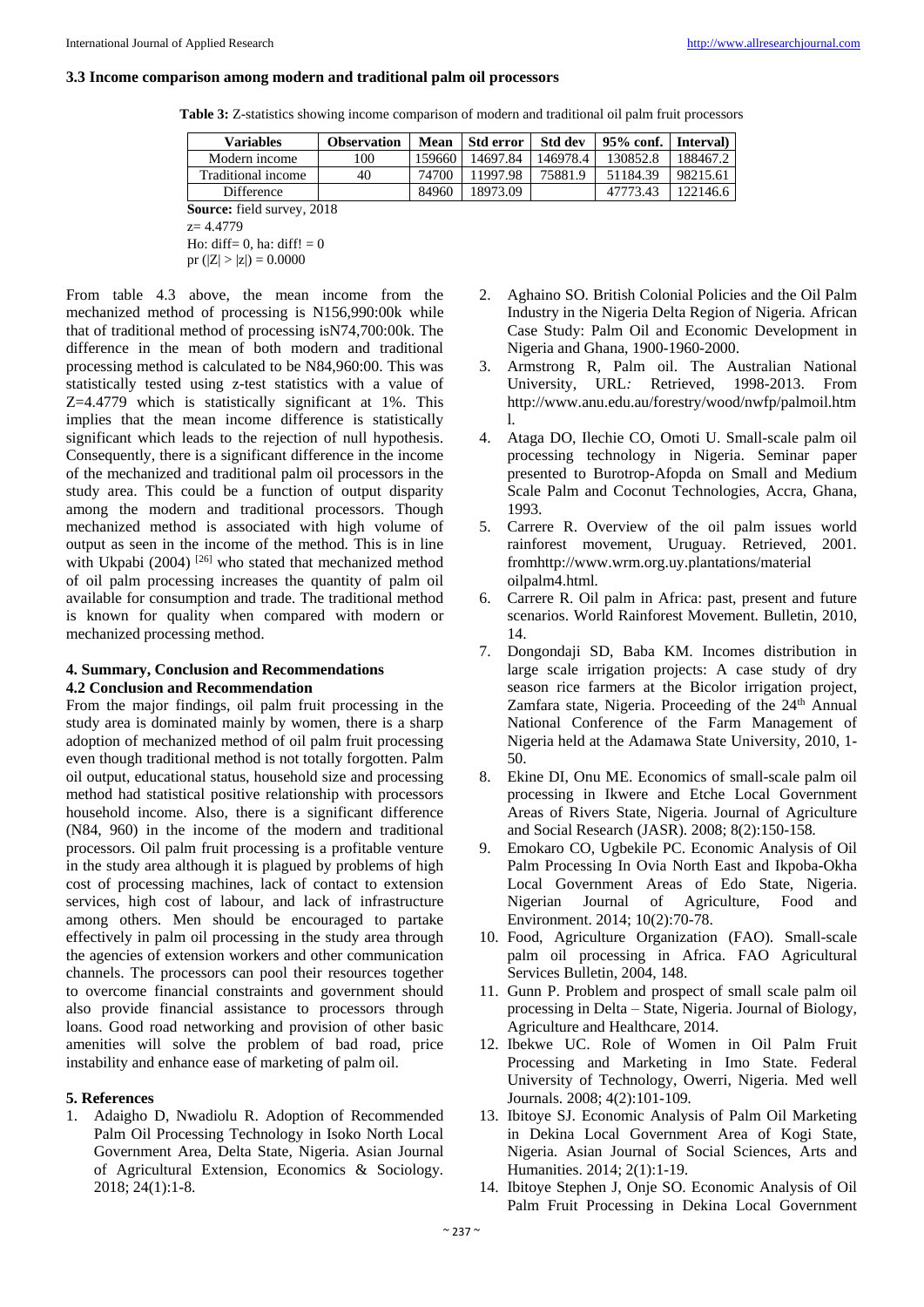#### **3.3 Income comparison among modern and traditional palm oil processors**

**Table 3:** Z-statistics showing income comparison of modern and traditional oil palm fruit processors

| <b>Variables</b>                  | <b>Observation</b> | Mean   | Std error | Std dev  | $95%$ conf. | Interval) |
|-----------------------------------|--------------------|--------|-----------|----------|-------------|-----------|
| Modern income                     | 100                | 159660 | 14697.84  | 146978.4 | 130852.8    | 188467.2  |
| Traditional income                | 40                 | 74700  | 11997.98  | 75881.9  | 51184.39    | 98215.61  |
| Difference                        |                    | 84960  | 18973.09  |          | 47773.43    | 122146.6  |
| <b>Source:</b> field survey, 2018 |                    |        |           |          |             |           |

z= 4.4779

Ho: diff= 0, ha: diff!  $= 0$ 

pr  $(|Z| > |z|) = 0.0000$ 

From table 4.3 above, the mean income from the mechanized method of processing is N156,990:00k while that of traditional method of processing isN74,700:00k. The difference in the mean of both modern and traditional processing method is calculated to be N84,960:00. This was statistically tested using z-test statistics with a value of Z=4.4779 which is statistically significant at 1%. This implies that the mean income difference is statistically significant which leads to the rejection of null hypothesis. Consequently, there is a significant difference in the income of the mechanized and traditional palm oil processors in the study area. This could be a function of output disparity among the modern and traditional processors. Though mechanized method is associated with high volume of output as seen in the income of the method. This is in line with Ukpabi (2004)<sup>[26]</sup> who stated that mechanized method of oil palm processing increases the quantity of palm oil available for consumption and trade. The traditional method is known for quality when compared with modern or mechanized processing method.

#### **4. Summary, Conclusion and Recommendations 4.2 Conclusion and Recommendation**

From the major findings, oil palm fruit processing in the study area is dominated mainly by women, there is a sharp adoption of mechanized method of oil palm fruit processing even though traditional method is not totally forgotten. Palm oil output, educational status, household size and processing method had statistical positive relationship with processors household income. Also, there is a significant difference (N84, 960) in the income of the modern and traditional processors. Oil palm fruit processing is a profitable venture in the study area although it is plagued by problems of high cost of processing machines, lack of contact to extension services, high cost of labour, and lack of infrastructure among others. Men should be encouraged to partake effectively in palm oil processing in the study area through the agencies of extension workers and other communication channels. The processors can pool their resources together to overcome financial constraints and government should also provide financial assistance to processors through loans. Good road networking and provision of other basic amenities will solve the problem of bad road, price instability and enhance ease of marketing of palm oil.

#### **5. References**

1. Adaigho D, Nwadiolu R. Adoption of Recommended Palm Oil Processing Technology in Isoko North Local Government Area, Delta State, Nigeria. Asian Journal of Agricultural Extension, Economics & Sociology*.* 2018; 24(1):1-8.

- 2. Aghaino SO. British Colonial Policies and the Oil Palm Industry in the Nigeria Delta Region of Nigeria*.* African Case Study: Palm Oil and Economic Development in Nigeria and Ghana, 1900-1960-2000.
- 3. Armstrong R, Palm oil. The Australian National University, URL*:* Retrieved, 1998-2013. From http://www.anu.edu.au/forestry/wood/nwfp/palmoil.htm l.
- 4. Ataga DO, Ilechie CO, Omoti U. Small-scale palm oil processing technology in Nigeria. Seminar paper presented to Burotrop-Afopda on Small and Medium Scale Palm and Coconut Technologies, Accra, Ghana, 1993.
- 5. Carrere R. Overview of the oil palm issues world rainforest movement, Uruguay. Retrieved*,* 2001*.* fromhttp://www.wrm.org.uy.plantations/material oilpalm4.html*.*
- 6. Carrere R. Oil palm in Africa: past, present and future scenarios. World Rainforest Movement. Bulletin, 2010, 14.
- 7. Dongondaji SD, Baba KM. Incomes distribution in large scale irrigation projects: A case study of dry season rice farmers at the Bicolor irrigation project, Zamfara state, Nigeria. Proceeding of the  $24<sup>th</sup>$  Annual National Conference of the Farm Management of Nigeria held at the Adamawa State University, 2010, 1- 50.
- 8. Ekine DI, Onu ME. Economics of small-scale palm oil processing in Ikwere and Etche Local Government Areas of Rivers State, Nigeria. Journal of Agriculture and Social Research (JASR). 2008; 8(2):150-158*.*
- 9. Emokaro CO, Ugbekile PC. Economic Analysis of Oil Palm Processing In Ovia North East and Ikpoba-Okha Local Government Areas of Edo State, Nigeria. Nigerian Journal of Agriculture, Food and Environment. 2014; 10(2):70-78.
- 10. Food, Agriculture Organization (FAO). Small-scale palm oil processing in Africa. FAO Agricultural Services Bulletin, 2004, 148.
- 11. Gunn P. Problem and prospect of small scale palm oil processing in Delta – State, Nigeria. Journal of Biology, Agriculture and Healthcare, 2014.
- 12. Ibekwe UC. Role of Women in Oil Palm Fruit Processing and Marketing in Imo State. Federal University of Technology, Owerri, Nigeria*.* Med well Journals. 2008; 4(2):101-109*.*
- 13. Ibitoye SJ. Economic Analysis of Palm Oil Marketing in Dekina Local Government Area of Kogi State, Nigeria. Asian Journal of Social Sciences, Arts and Humanities. 2014; 2(1):1-19.
- 14. Ibitoye Stephen J, Onje SO. Economic Analysis of Oil Palm Fruit Processing in Dekina Local Government